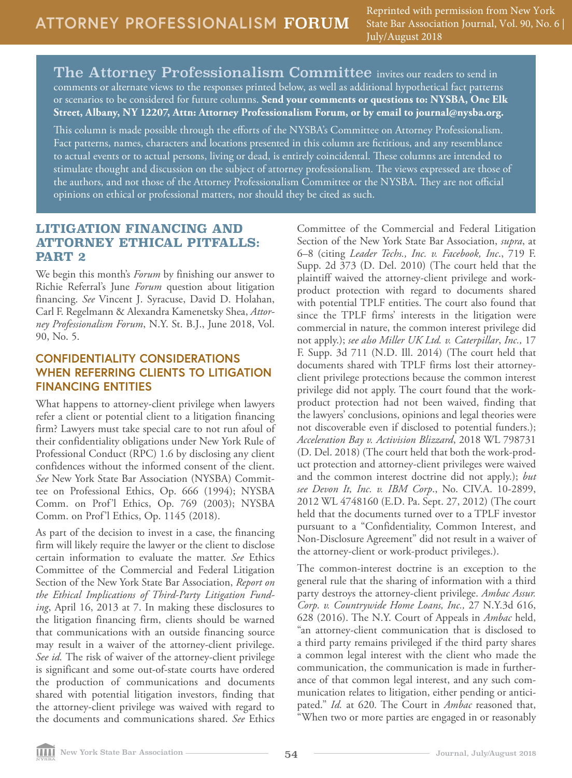The Attorney Professionalism Committee invites our readers to send in comments or alternate views to the responses printed below, as well as additional hypothetical fact patterns or scenarios to be considered for future columns. **Send your comments or questions to: NYSBA, One Elk Street, Albany, NY 12207, Attn: Attorney Professionalism Forum, or by email to journal@nysba.org.** 

This column is made possible through the efforts of the NYSBA's Committee on Attorney Professionalism. Fact patterns, names, characters and locations presented in this column are fictitious, and any resemblance to actual events or to actual persons, living or dead, is entirely coincidental. These columns are intended to stimulate thought and discussion on the subject of attorney professionalism. The views expressed are those of the authors, and not those of the Attorney Professionalism Committee or the NYSBA. They are not official opinions on ethical or professional matters, nor should they be cited as such.

## **LITIGATION FINANCING AND ATTORNEY ETHICAL PITFALLS: PART 2**

We begin this month's *Forum* by finishing our answer to Richie Referral's June *Forum* question about litigation financing. *See* Vincent J. Syracuse, David D. Holahan, Carl F. Regelmann & Alexandra Kamenetsky Shea, *Attorney Professionalism Forum*, N.Y. St. B.J., June 2018, Vol. 90, No. 5.

## **CONFIDENTIALITY CONSIDERATIONS WHEN REFERRING CLIENTS TO LITIGATION FINANCING ENTITIES**

What happens to attorney-client privilege when lawyers refer a client or potential client to a litigation financing firm? Lawyers must take special care to not run afoul of their confidentiality obligations under New York Rule of Professional Conduct (RPC) 1.6 by disclosing any client confidences without the informed consent of the client. *See* New York State Bar Association (NYSBA) Committee on Professional Ethics, Op. 666 (1994); NYSBA Comm. on Prof'l Ethics, Op. 769 (2003); NYSBA Comm. on Prof'l Ethics, Op. 1145 (2018).

As part of the decision to invest in a case, the financing firm will likely require the lawyer or the client to disclose certain information to evaluate the matter. *See* Ethics Committee of the Commercial and Federal Litigation Section of the New York State Bar Association, *Report on the Ethical Implications of Third-Party Litigation Funding*, April 16, 2013 at 7. In making these disclosures to the litigation financing firm, clients should be warned that communications with an outside financing source may result in a waiver of the attorney-client privilege. *See id.* The risk of waiver of the attorney-client privilege is significant and some out-of-state courts have ordered the production of communications and documents shared with potential litigation investors, finding that the attorney-client privilege was waived with regard to the documents and communications shared. *See* Ethics

Committee of the Commercial and Federal Litigation Section of the New York State Bar Association, *supra*, at 6–8 (citing *Leader Techs., Inc. v. Facebook, Inc*., 719 F. Supp. 2d 373 (D. Del. 2010) (The court held that the plaintiff waived the attorney-client privilege and workproduct protection with regard to documents shared with potential TPLF entities. The court also found that since the TPLF firms' interests in the litigation were commercial in nature, the common interest privilege did not apply.); *see also Miller UK Ltd. v. Caterpillar*, *Inc.,* 17 F. Supp. 3d 711 (N.D. Ill. 2014) (The court held that documents shared with TPLF firms lost their attorneyclient privilege protections because the common interest privilege did not apply. The court found that the workproduct protection had not been waived, finding that the lawyers' conclusions, opinions and legal theories were not discoverable even if disclosed to potential funders.); *Acceleration Bay v. Activision Blizzard*, 2018 WL 798731 (D. Del. 2018) (The court held that both the work-product protection and attorney-client privileges were waived and the common interest doctrine did not apply.); *but see Devon It, Inc. v. IBM Corp*., No. CIV.A. 10-2899, 2012 WL 4748160 (E.D. Pa. Sept. 27, 2012) (The court held that the documents turned over to a TPLF investor pursuant to a "Confidentiality, Common Interest, and Non-Disclosure Agreement" did not result in a waiver of the attorney-client or work-product privileges.).

The common-interest doctrine is an exception to the general rule that the sharing of information with a third party destroys the attorney-client privilege. *Ambac Assur. Corp. v. Countrywide Home Loans, Inc.,* 27 N.Y.3d 616, 628 (2016). The N.Y. Court of Appeals in *Ambac* held, "an attorney-client communication that is disclosed to a third party remains privileged if the third party shares a common legal interest with the client who made the communication, the communication is made in furtherance of that common legal interest, and any such communication relates to litigation, either pending or anticipated." *Id.* at 620*.* The Court in *Ambac* reasoned that, "When two or more parties are engaged in or reasonably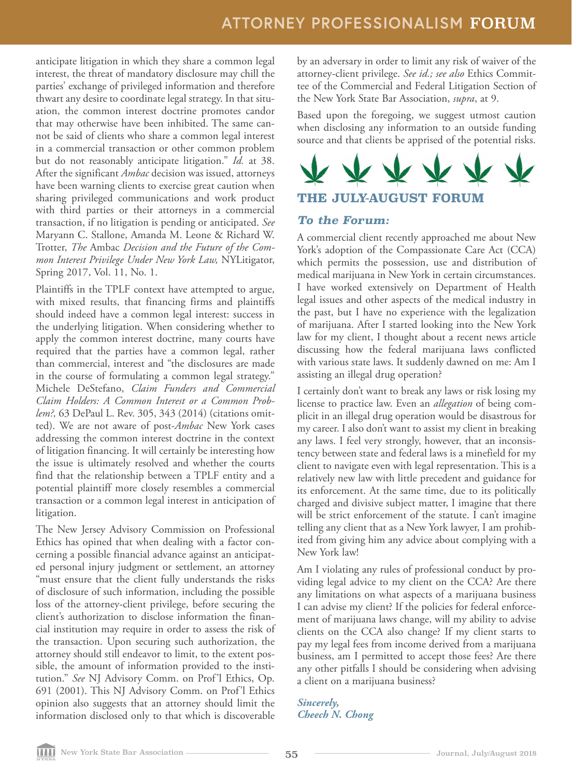anticipate litigation in which they share a common legal interest, the threat of mandatory disclosure may chill the parties' exchange of privileged information and therefore thwart any desire to coordinate legal strategy. In that situation, the common interest doctrine promotes candor that may otherwise have been inhibited. The same cannot be said of clients who share a common legal interest in a commercial transaction or other common problem but do not reasonably anticipate litigation." *Id.* at 38. After the significant *Ambac* decision was issued, attorneys have been warning clients to exercise great caution when sharing privileged communications and work product with third parties or their attorneys in a commercial transaction, if no litigation is pending or anticipated. *See* Maryann C. Stallone, Amanda M. Leone & Richard W. Trotter, *The* Ambac *Decision and the Future of the Common Interest Privilege Under New York Law,* NYLitigator, Spring 2017, Vol. 11, No. 1.

Plaintiffs in the TPLF context have attempted to argue, with mixed results, that financing firms and plaintiffs should indeed have a common legal interest: success in the underlying litigation. When considering whether to apply the common interest doctrine, many courts have required that the parties have a common legal, rather than commercial, interest and "the disclosures are made in the course of formulating a common legal strategy." Michele DeStefano, *Claim Funders and Commercial Claim Holders: A Common Interest or a Common Problem?,* 63 DePaul L. Rev. 305, 343 (2014) (citations omitted). We are not aware of post-*Ambac* New York cases addressing the common interest doctrine in the context of litigation financing. It will certainly be interesting how the issue is ultimately resolved and whether the courts find that the relationship between a TPLF entity and a potential plaintiff more closely resembles a commercial transaction or a common legal interest in anticipation of litigation.

The New Jersey Advisory Commission on Professional Ethics has opined that when dealing with a factor concerning a possible financial advance against an anticipated personal injury judgment or settlement, an attorney "must ensure that the client fully understands the risks of disclosure of such information, including the possible loss of the attorney-client privilege, before securing the client's authorization to disclose information the financial institution may require in order to assess the risk of the transaction. Upon securing such authorization, the attorney should still endeavor to limit, to the extent possible, the amount of information provided to the institution." *See* NJ Advisory Comm. on Prof'l Ethics, Op. 691 (2001). This NJ Advisory Comm. on Prof'l Ethics opinion also suggests that an attorney should limit the information disclosed only to that which is discoverable

by an adversary in order to limit any risk of waiver of the attorney-client privilege. *See id.; see also* Ethics Committee of the Commercial and Federal Litigation Section of the New York State Bar Association, *supra*, at 9.

Based upon the foregoing, we suggest utmost caution when disclosing any information to an outside funding source and that clients be apprised of the potential risks.



## *To the Forum:*

A commercial client recently approached me about New York's adoption of the Compassionate Care Act (CCA) which permits the possession, use and distribution of medical marijuana in New York in certain circumstances. I have worked extensively on Department of Health legal issues and other aspects of the medical industry in the past, but I have no experience with the legalization of marijuana. After I started looking into the New York law for my client, I thought about a recent news article discussing how the federal marijuana laws conflicted with various state laws. It suddenly dawned on me: Am I assisting an illegal drug operation?

I certainly don't want to break any laws or risk losing my license to practice law. Even an *allegation* of being complicit in an illegal drug operation would be disastrous for my career. I also don't want to assist my client in breaking any laws. I feel very strongly, however, that an inconsistency between state and federal laws is a minefield for my client to navigate even with legal representation. This is a relatively new law with little precedent and guidance for its enforcement. At the same time, due to its politically charged and divisive subject matter, I imagine that there will be strict enforcement of the statute. I can't imagine telling any client that as a New York lawyer, I am prohibited from giving him any advice about complying with a New York law!

Am I violating any rules of professional conduct by providing legal advice to my client on the CCA? Are there any limitations on what aspects of a marijuana business I can advise my client? If the policies for federal enforcement of marijuana laws change, will my ability to advise clients on the CCA also change? If my client starts to pay my legal fees from income derived from a marijuana business, am I permitted to accept those fees? Are there any other pitfalls I should be considering when advising a client on a marijuana business?

*Sincerely, Cheech N. Chong*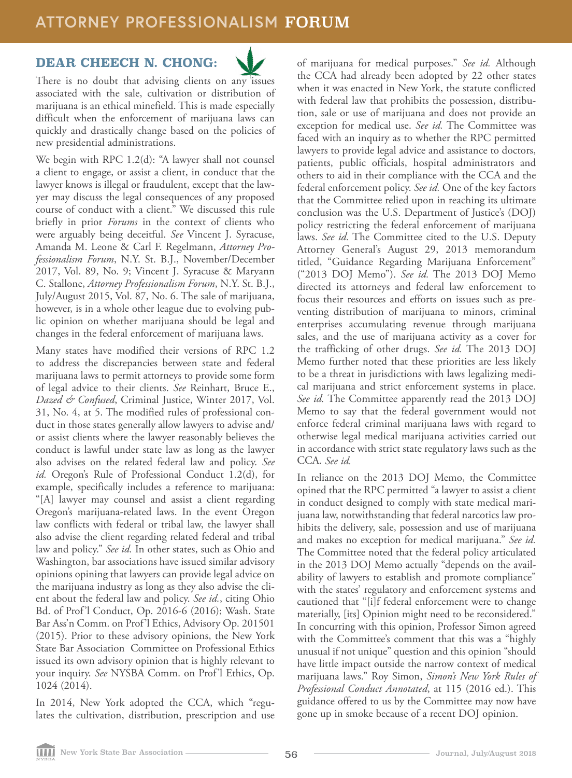## **ATTORNEY PROFESSIONALISM** FORUM

## **DEAR CHEECH N. CHONG:**



There is no doubt that advising clients on any issues associated with the sale, cultivation or distribution of marijuana is an ethical minefield. This is made especially difficult when the enforcement of marijuana laws can quickly and drastically change based on the policies of new presidential administrations.

We begin with RPC 1.2(d): "A lawyer shall not counsel a client to engage, or assist a client, in conduct that the lawyer knows is illegal or fraudulent, except that the lawyer may discuss the legal consequences of any proposed course of conduct with a client." We discussed this rule briefly in prior *Forums* in the context of clients who were arguably being deceitful. *See* Vincent J. Syracuse, Amanda M. Leone & Carl F. Regelmann, *Attorney Professionalism Forum*, N.Y. St. B.J., November/December 2017, Vol. 89, No. 9; Vincent J. Syracuse & Maryann C. Stallone, *Attorney Professionalism Forum*, N.Y. St. B.J., July/August 2015, Vol. 87, No. 6. The sale of marijuana, however, is in a whole other league due to evolving public opinion on whether marijuana should be legal and changes in the federal enforcement of marijuana laws.

Many states have modified their versions of RPC 1.2 to address the discrepancies between state and federal marijuana laws to permit attorneys to provide some form of legal advice to their clients. *See* Reinhart, Bruce E., *Dazed & Confused*, Criminal Justice, Winter 2017, Vol. 31, No. 4, at 5. The modified rules of professional conduct in those states generally allow lawyers to advise and/ or assist clients where the lawyer reasonably believes the conduct is lawful under state law as long as the lawyer also advises on the related federal law and policy. *See id.* Oregon's Rule of Professional Conduct 1.2(d), for example, specifically includes a reference to marijuana: "[A] lawyer may counsel and assist a client regarding Oregon's marijuana-related laws. In the event Oregon law conflicts with federal or tribal law, the lawyer shall also advise the client regarding related federal and tribal law and policy." *See id.* In other states, such as Ohio and Washington, bar associations have issued similar advisory opinions opining that lawyers can provide legal advice on the marijuana industry as long as they also advise the client about the federal law and policy. *See id.*, citing Ohio Bd. of Prof'l Conduct, Op. 2016-6 (2016); Wash. State Bar Ass'n Comm. on Prof'l Ethics, Advisory Op. 201501 (2015). Prior to these advisory opinions, the New York State Bar Association Committee on Professional Ethics issued its own advisory opinion that is highly relevant to your inquiry. *See* NYSBA Comm. on Prof'l Ethics, Op. 1024 (2014).

In 2014, New York adopted the CCA, which "regulates the cultivation, distribution, prescription and use

of marijuana for medical purposes." *See id.* Although the CCA had already been adopted by 22 other states when it was enacted in New York, the statute conflicted with federal law that prohibits the possession, distribution, sale or use of marijuana and does not provide an exception for medical use. *See id.* The Committee was faced with an inquiry as to whether the RPC permitted lawyers to provide legal advice and assistance to doctors, patients, public officials, hospital administrators and others to aid in their compliance with the CCA and the federal enforcement policy. *See id.* One of the key factors that the Committee relied upon in reaching its ultimate conclusion was the U.S. Department of Justice's (DOJ) policy restricting the federal enforcement of marijuana laws. *See id.* The Committee cited to the U.S. Deputy Attorney General's August 29, 2013 memorandum titled, "Guidance Regarding Marijuana Enforcement" ("2013 DOJ Memo"). *See id.* The 2013 DOJ Memo directed its attorneys and federal law enforcement to focus their resources and efforts on issues such as preventing distribution of marijuana to minors, criminal enterprises accumulating revenue through marijuana sales, and the use of marijuana activity as a cover for the trafficking of other drugs. *See id.* The 2013 DOJ Memo further noted that these priorities are less likely to be a threat in jurisdictions with laws legalizing medical marijuana and strict enforcement systems in place. *See id.* The Committee apparently read the 2013 DOJ Memo to say that the federal government would not enforce federal criminal marijuana laws with regard to otherwise legal medical marijuana activities carried out in accordance with strict state regulatory laws such as the CCA. *See id.* 

In reliance on the 2013 DOJ Memo, the Committee opined that the RPC permitted "a lawyer to assist a client in conduct designed to comply with state medical marijuana law, notwithstanding that federal narcotics law prohibits the delivery, sale, possession and use of marijuana and makes no exception for medical marijuana." *See id.* The Committee noted that the federal policy articulated in the 2013 DOJ Memo actually "depends on the availability of lawyers to establish and promote compliance" with the states' regulatory and enforcement systems and cautioned that "[i]f federal enforcement were to change materially, [its] Opinion might need to be reconsidered." In concurring with this opinion, Professor Simon agreed with the Committee's comment that this was a "highly unusual if not unique" question and this opinion "should have little impact outside the narrow context of medical marijuana laws." Roy Simon, *Simon's New York Rules of Professional Conduct Annotated*, at 115 (2016 ed.). This guidance offered to us by the Committee may now have gone up in smoke because of a recent DOJ opinion.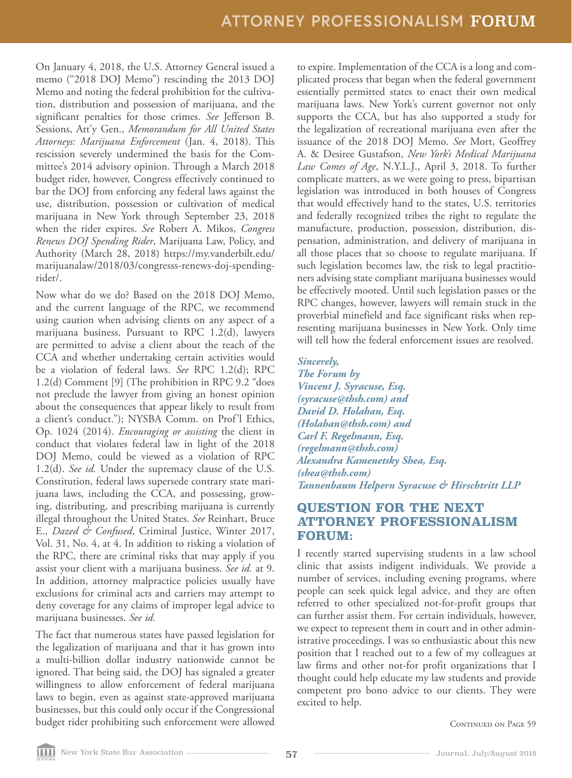On January 4, 2018, the U.S. Attorney General issued a memo ("2018 DOJ Memo") rescinding the 2013 DOJ Memo and noting the federal prohibition for the cultivation, distribution and possession of marijuana, and the significant penalties for those crimes. *See* Jefferson B. Sessions, Att'y Gen., *Memorandum for All United States Attorneys: Marijuana Enforcement* (Jan. 4, 2018). This rescission severely undermined the basis for the Committee's 2014 advisory opinion. Through a March 2018 budget rider, however, Congress effectively continued to bar the DOJ from enforcing any federal laws against the use, distribution, possession or cultivation of medical marijuana in New York through September 23, 2018 when the rider expires. *See* Robert A. Mikos, *Congress Renews DOJ Spending Rider*, Marijuana Law, Policy, and Authority (March 28, 2018) https://my.vanderbilt.edu/ marijuanalaw/2018/03/congresss-renews-doj-spendingrider/.

Now what do we do? Based on the 2018 DOJ Memo, and the current language of the RPC, we recommend using caution when advising clients on any aspect of a marijuana business. Pursuant to RPC 1.2(d), lawyers are permitted to advise a client about the reach of the CCA and whether undertaking certain activities would be a violation of federal laws. *See* RPC 1.2(d); RPC 1.2(d) Comment [9] (The prohibition in RPC 9.2 "does not preclude the lawyer from giving an honest opinion about the consequences that appear likely to result from a client's conduct."); NYSBA Comm. on Prof'l Ethics, Op. 1024 (2014). *Encouraging or assisting* the client in conduct that violates federal law in light of the 2018 DOJ Memo, could be viewed as a violation of RPC 1.2(d). *See id.* Under the supremacy clause of the U.S. Constitution, federal laws supersede contrary state marijuana laws, including the CCA, and possessing, growing, distributing, and prescribing marijuana is currently illegal throughout the United States. *See* Reinhart, Bruce E., *Dazed & Confused*, Criminal Justice, Winter 2017, Vol. 31, No. 4, at 4. In addition to risking a violation of the RPC, there are criminal risks that may apply if you assist your client with a marijuana business. *See id.* at 9. In addition, attorney malpractice policies usually have exclusions for criminal acts and carriers may attempt to deny coverage for any claims of improper legal advice to marijuana businesses. *See id.* 

The fact that numerous states have passed legislation for the legalization of marijuana and that it has grown into a multi-billion dollar industry nationwide cannot be ignored. That being said, the DOJ has signaled a greater willingness to allow enforcement of federal marijuana laws to begin, even as against state-approved marijuana businesses, but this could only occur if the Congressional budget rider prohibiting such enforcement were allowed

to expire. Implementation of the CCA is a long and complicated process that began when the federal government essentially permitted states to enact their own medical marijuana laws. New York's current governor not only supports the CCA, but has also supported a study for the legalization of recreational marijuana even after the issuance of the 2018 DOJ Memo. *See* Mort, Geoffrey A. & Desiree Gustafson, *New York's Medical Marijuana Law Comes of Age*, N.Y.L.J., April 3, 2018. To further complicate matters, as we were going to press, bipartisan legislation was introduced in both houses of Congress that would effectively hand to the states, U.S. territories and federally recognized tribes the right to regulate the manufacture, production, possession, distribution, dispensation, administration, and delivery of marijuana in all those places that so choose to regulate marijuana. If such legislation becomes law, the risk to legal practitioners advising state compliant marijuana businesses would be effectively mooted. Until such legislation passes or the RPC changes, however, lawyers will remain stuck in the proverbial minefield and face significant risks when representing marijuana businesses in New York. Only time will tell how the federal enforcement issues are resolved.

### *Sincerely,*

*The Forum by Vincent J. Syracuse, Esq. (syracuse@thsh.com) and David D. Holahan, Esq. (Holahan@thsh.com) and Carl F. Regelmann, Esq. (regelmann@thsh.com) Alexandra Kamenetsky Shea, Esq. (shea@thsh.com) Tannenbaum Helpern Syracuse & Hirschtritt LLP*

## **QUESTION FOR THE NEXT ATTORNEY PROFESSIONALISM FORUM:**

I recently started supervising students in a law school clinic that assists indigent individuals. We provide a number of services, including evening programs, where people can seek quick legal advice, and they are often referred to other specialized not-for-profit groups that can further assist them. For certain individuals, however, we expect to represent them in court and in other administrative proceedings. I was so enthusiastic about this new position that I reached out to a few of my colleagues at law firms and other not-for profit organizations that I thought could help educate my law students and provide competent pro bono advice to our clients. They were excited to help.

CONTINUED ON PAGE 59